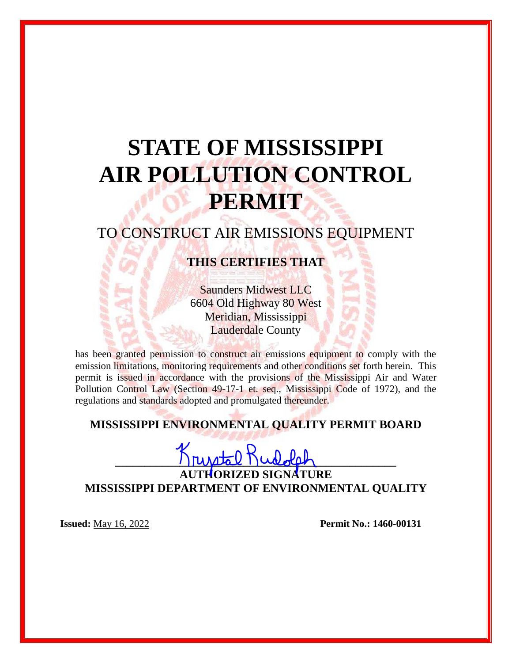# **STATE OF MISSISSIPPI AIR POLLUTION CONTROL PERMIT**

# TO CONSTRUCT AIR EMISSIONS EQUIPMENT

# **THIS CERTIFIES THAT**

Saunders Midwest LLC 6604 Old Highway 80 West Meridian, Mississippi Lauderdale County

has been granted permission to construct air emissions equipment to comply with the emission limitations, monitoring requirements and other conditions set forth herein. This permit is issued in accordance with the provisions of the Mississippi Air and Water Pollution Control Law (Section 49-17-1 et. seq., Mississippi Code of 1972), and the regulations and standards adopted and promulgated thereunder.

## **MISSISSIPPI ENVIRONMENTAL QUALITY PERMIT BOARD**

 $K$ rystal Rudolet

**AUTHORIZED SIGNATURE MISSISSIPPI DEPARTMENT OF ENVIRONMENTAL QUALITY**

**Issued:** May 16, 2022 **Permit No.: 1460-00131**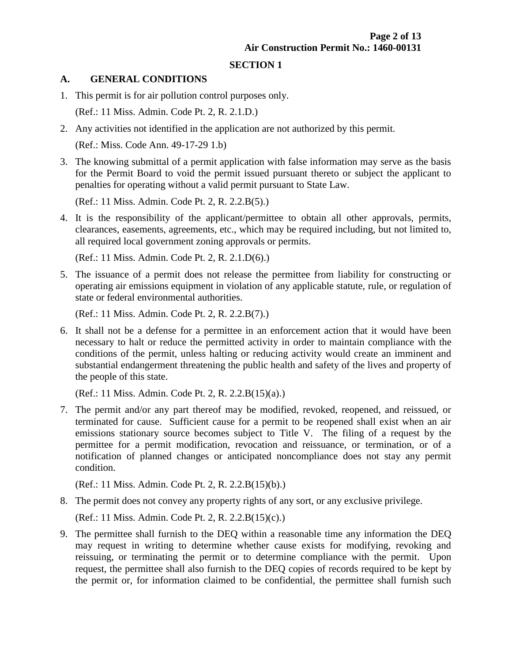#### **SECTION 1**

#### **A. GENERAL CONDITIONS**

1. This permit is for air pollution control purposes only.

(Ref.: 11 Miss. Admin. Code Pt. 2, R. 2.1.D.)

2. Any activities not identified in the application are not authorized by this permit.

(Ref.: Miss. Code Ann. 49-17-29 1.b)

3. The knowing submittal of a permit application with false information may serve as the basis for the Permit Board to void the permit issued pursuant thereto or subject the applicant to penalties for operating without a valid permit pursuant to State Law.

(Ref.: 11 Miss. Admin. Code Pt. 2, R. 2.2.B(5).)

4. It is the responsibility of the applicant/permittee to obtain all other approvals, permits, clearances, easements, agreements, etc., which may be required including, but not limited to, all required local government zoning approvals or permits.

(Ref.: 11 Miss. Admin. Code Pt. 2, R. 2.1.D(6).)

5. The issuance of a permit does not release the permittee from liability for constructing or operating air emissions equipment in violation of any applicable statute, rule, or regulation of state or federal environmental authorities.

(Ref.: 11 Miss. Admin. Code Pt. 2, R. 2.2.B(7).)

6. It shall not be a defense for a permittee in an enforcement action that it would have been necessary to halt or reduce the permitted activity in order to maintain compliance with the conditions of the permit, unless halting or reducing activity would create an imminent and substantial endangerment threatening the public health and safety of the lives and property of the people of this state.

(Ref.: 11 Miss. Admin. Code Pt. 2, R. 2.2.B(15)(a).)

7. The permit and/or any part thereof may be modified, revoked, reopened, and reissued, or terminated for cause. Sufficient cause for a permit to be reopened shall exist when an air emissions stationary source becomes subject to Title V. The filing of a request by the permittee for a permit modification, revocation and reissuance, or termination, or of a notification of planned changes or anticipated noncompliance does not stay any permit condition.

(Ref.: 11 Miss. Admin. Code Pt. 2, R. 2.2.B(15)(b).)

8. The permit does not convey any property rights of any sort, or any exclusive privilege.

(Ref.: 11 Miss. Admin. Code Pt. 2, R. 2.2.B(15)(c).)

9. The permittee shall furnish to the DEQ within a reasonable time any information the DEQ may request in writing to determine whether cause exists for modifying, revoking and reissuing, or terminating the permit or to determine compliance with the permit. Upon request, the permittee shall also furnish to the DEQ copies of records required to be kept by the permit or, for information claimed to be confidential, the permittee shall furnish such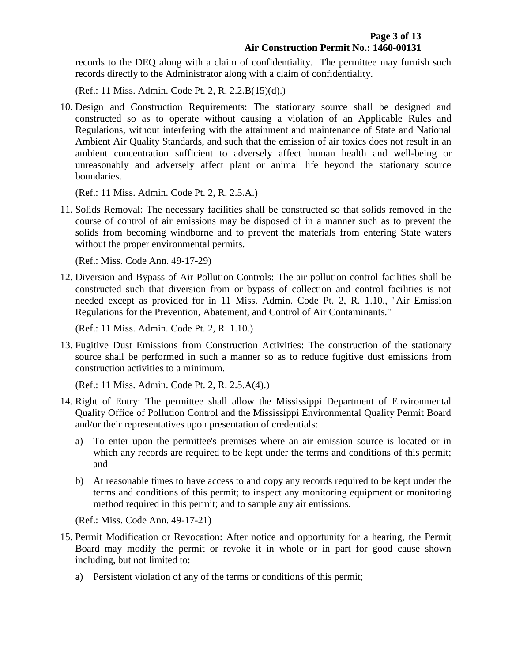records to the DEQ along with a claim of confidentiality. The permittee may furnish such records directly to the Administrator along with a claim of confidentiality.

(Ref.: 11 Miss. Admin. Code Pt. 2, R. 2.2.B(15)(d).)

10. Design and Construction Requirements: The stationary source shall be designed and constructed so as to operate without causing a violation of an Applicable Rules and Regulations, without interfering with the attainment and maintenance of State and National Ambient Air Quality Standards, and such that the emission of air toxics does not result in an ambient concentration sufficient to adversely affect human health and well-being or unreasonably and adversely affect plant or animal life beyond the stationary source boundaries.

(Ref.: 11 Miss. Admin. Code Pt. 2, R. 2.5.A.)

11. Solids Removal: The necessary facilities shall be constructed so that solids removed in the course of control of air emissions may be disposed of in a manner such as to prevent the solids from becoming windborne and to prevent the materials from entering State waters without the proper environmental permits.

(Ref.: Miss. Code Ann. 49-17-29)

12. Diversion and Bypass of Air Pollution Controls: The air pollution control facilities shall be constructed such that diversion from or bypass of collection and control facilities is not needed except as provided for in 11 Miss. Admin. Code Pt. 2, R. 1.10., "Air Emission Regulations for the Prevention, Abatement, and Control of Air Contaminants."

(Ref.: 11 Miss. Admin. Code Pt. 2, R. 1.10.)

13. Fugitive Dust Emissions from Construction Activities: The construction of the stationary source shall be performed in such a manner so as to reduce fugitive dust emissions from construction activities to a minimum.

(Ref.: 11 Miss. Admin. Code Pt. 2, R. 2.5.A(4).)

- 14. Right of Entry: The permittee shall allow the Mississippi Department of Environmental Quality Office of Pollution Control and the Mississippi Environmental Quality Permit Board and/or their representatives upon presentation of credentials:
	- a) To enter upon the permittee's premises where an air emission source is located or in which any records are required to be kept under the terms and conditions of this permit; and
	- b) At reasonable times to have access to and copy any records required to be kept under the terms and conditions of this permit; to inspect any monitoring equipment or monitoring method required in this permit; and to sample any air emissions.

(Ref.: Miss. Code Ann. 49-17-21)

- 15. Permit Modification or Revocation: After notice and opportunity for a hearing, the Permit Board may modify the permit or revoke it in whole or in part for good cause shown including, but not limited to:
	- a) Persistent violation of any of the terms or conditions of this permit;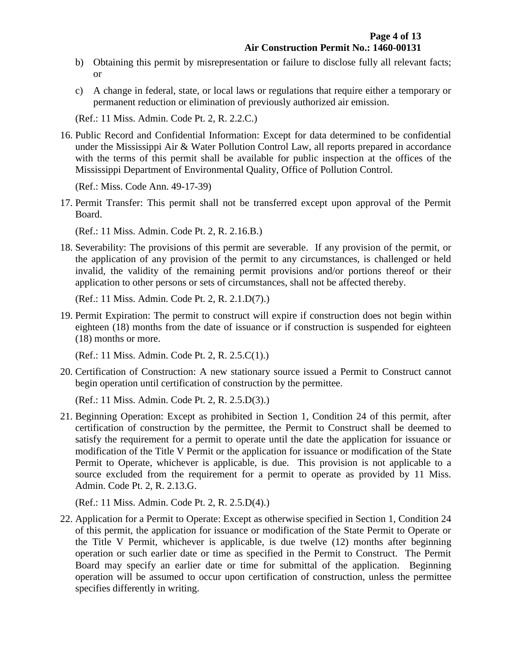- b) Obtaining this permit by misrepresentation or failure to disclose fully all relevant facts; or
- c) A change in federal, state, or local laws or regulations that require either a temporary or permanent reduction or elimination of previously authorized air emission.

(Ref.: 11 Miss. Admin. Code Pt. 2, R. 2.2.C.)

16. Public Record and Confidential Information: Except for data determined to be confidential under the Mississippi Air & Water Pollution Control Law, all reports prepared in accordance with the terms of this permit shall be available for public inspection at the offices of the Mississippi Department of Environmental Quality, Office of Pollution Control.

(Ref.: Miss. Code Ann. 49-17-39)

17. Permit Transfer: This permit shall not be transferred except upon approval of the Permit Board.

(Ref.: 11 Miss. Admin. Code Pt. 2, R. 2.16.B.)

18. Severability: The provisions of this permit are severable. If any provision of the permit, or the application of any provision of the permit to any circumstances, is challenged or held invalid, the validity of the remaining permit provisions and/or portions thereof or their application to other persons or sets of circumstances, shall not be affected thereby.

(Ref.: 11 Miss. Admin. Code Pt. 2, R. 2.1.D(7).)

19. Permit Expiration: The permit to construct will expire if construction does not begin within eighteen (18) months from the date of issuance or if construction is suspended for eighteen (18) months or more.

(Ref.: 11 Miss. Admin. Code Pt. 2, R. 2.5.C(1).)

20. Certification of Construction: A new stationary source issued a Permit to Construct cannot begin operation until certification of construction by the permittee.

(Ref.: 11 Miss. Admin. Code Pt. 2, R. 2.5.D(3).)

21. Beginning Operation: Except as prohibited in Section 1, Condition 24 of this permit, after certification of construction by the permittee, the Permit to Construct shall be deemed to satisfy the requirement for a permit to operate until the date the application for issuance or modification of the Title V Permit or the application for issuance or modification of the State Permit to Operate, whichever is applicable, is due. This provision is not applicable to a source excluded from the requirement for a permit to operate as provided by 11 Miss. Admin. Code Pt. 2, R. 2.13.G.

(Ref.: 11 Miss. Admin. Code Pt. 2, R. 2.5.D(4).)

22. Application for a Permit to Operate: Except as otherwise specified in Section 1, Condition 24 of this permit, the application for issuance or modification of the State Permit to Operate or the Title V Permit, whichever is applicable, is due twelve (12) months after beginning operation or such earlier date or time as specified in the Permit to Construct. The Permit Board may specify an earlier date or time for submittal of the application. Beginning operation will be assumed to occur upon certification of construction, unless the permittee specifies differently in writing.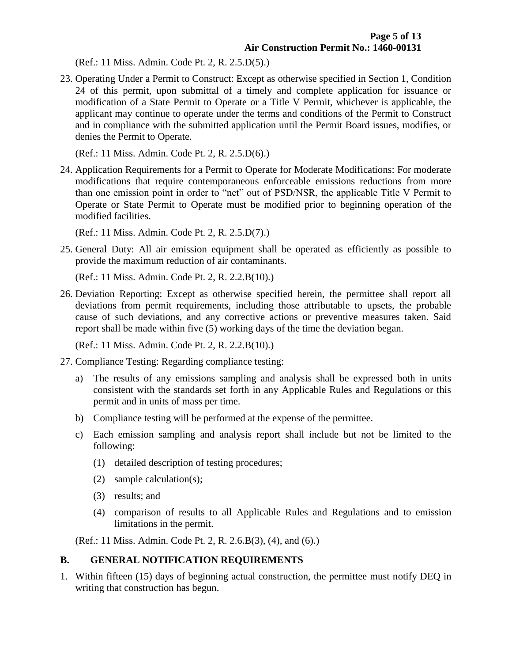(Ref.: 11 Miss. Admin. Code Pt. 2, R. 2.5.D(5).)

23. Operating Under a Permit to Construct: Except as otherwise specified in Section 1, Condition 24 of this permit, upon submittal of a timely and complete application for issuance or modification of a State Permit to Operate or a Title V Permit, whichever is applicable, the applicant may continue to operate under the terms and conditions of the Permit to Construct and in compliance with the submitted application until the Permit Board issues, modifies, or denies the Permit to Operate.

(Ref.: 11 Miss. Admin. Code Pt. 2, R. 2.5.D(6).)

24. Application Requirements for a Permit to Operate for Moderate Modifications: For moderate modifications that require contemporaneous enforceable emissions reductions from more than one emission point in order to "net" out of PSD/NSR, the applicable Title V Permit to Operate or State Permit to Operate must be modified prior to beginning operation of the modified facilities.

(Ref.: 11 Miss. Admin. Code Pt. 2, R. 2.5.D(7).)

25. General Duty: All air emission equipment shall be operated as efficiently as possible to provide the maximum reduction of air contaminants.

(Ref.: 11 Miss. Admin. Code Pt. 2, R. 2.2.B(10).)

26. Deviation Reporting: Except as otherwise specified herein, the permittee shall report all deviations from permit requirements, including those attributable to upsets, the probable cause of such deviations, and any corrective actions or preventive measures taken. Said report shall be made within five (5) working days of the time the deviation began.

(Ref.: 11 Miss. Admin. Code Pt. 2, R. 2.2.B(10).)

- 27. Compliance Testing: Regarding compliance testing:
	- a) The results of any emissions sampling and analysis shall be expressed both in units consistent with the standards set forth in any Applicable Rules and Regulations or this permit and in units of mass per time.
	- b) Compliance testing will be performed at the expense of the permittee.
	- c) Each emission sampling and analysis report shall include but not be limited to the following:
		- (1) detailed description of testing procedures;
		- (2) sample calculation(s);
		- (3) results; and
		- (4) comparison of results to all Applicable Rules and Regulations and to emission limitations in the permit.

(Ref.: 11 Miss. Admin. Code Pt. 2, R. 2.6.B(3), (4), and (6).)

#### **B. GENERAL NOTIFICATION REQUIREMENTS**

1. Within fifteen (15) days of beginning actual construction, the permittee must notify DEQ in writing that construction has begun.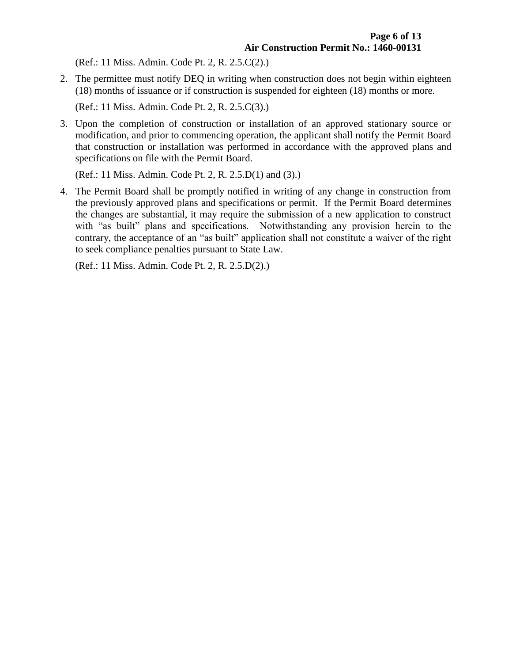(Ref.: 11 Miss. Admin. Code Pt. 2, R. 2.5.C(2).)

2. The permittee must notify DEQ in writing when construction does not begin within eighteen (18) months of issuance or if construction is suspended for eighteen (18) months or more.

(Ref.: 11 Miss. Admin. Code Pt. 2, R. 2.5.C(3).)

3. Upon the completion of construction or installation of an approved stationary source or modification, and prior to commencing operation, the applicant shall notify the Permit Board that construction or installation was performed in accordance with the approved plans and specifications on file with the Permit Board.

(Ref.: 11 Miss. Admin. Code Pt. 2, R. 2.5.D(1) and (3).)

4. The Permit Board shall be promptly notified in writing of any change in construction from the previously approved plans and specifications or permit. If the Permit Board determines the changes are substantial, it may require the submission of a new application to construct with "as built" plans and specifications. Notwithstanding any provision herein to the contrary, the acceptance of an "as built" application shall not constitute a waiver of the right to seek compliance penalties pursuant to State Law.

(Ref.: 11 Miss. Admin. Code Pt. 2, R. 2.5.D(2).)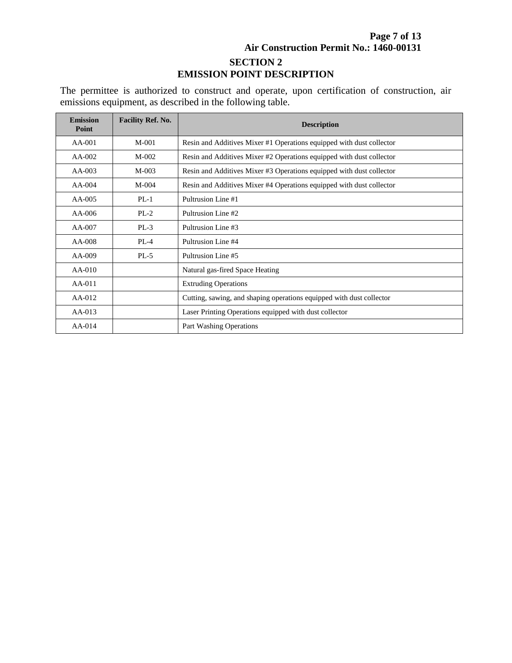#### **Page 7 of 13 Air Construction Permit No.: 1460-00131 SECTION 2 EMISSION POINT DESCRIPTION**

The permittee is authorized to construct and operate, upon certification of construction, air emissions equipment, as described in the following table.

| <b>Emission</b><br>Point | <b>Facility Ref. No.</b> | <b>Description</b>                                                   |
|--------------------------|--------------------------|----------------------------------------------------------------------|
| $AA-001$                 | $M-001$                  | Resin and Additives Mixer #1 Operations equipped with dust collector |
| $AA-002$                 | $M-002$                  | Resin and Additives Mixer #2 Operations equipped with dust collector |
| $AA-003$                 | $M-003$                  | Resin and Additives Mixer #3 Operations equipped with dust collector |
| $AA-004$                 | $M-004$                  | Resin and Additives Mixer #4 Operations equipped with dust collector |
| $AA-005$                 | $PL-1$                   | Pultrusion Line #1                                                   |
| $AA-006$                 | $PL-2$                   | Pultrusion Line #2                                                   |
| $AA-007$                 | $PL-3$                   | Pultrusion Line #3                                                   |
| $AA-008$                 | $PL-4$                   | Pultrusion Line #4                                                   |
| $AA-009$                 | $PL-5$                   | Pultrusion Line #5                                                   |
| $AA-010$                 |                          | Natural gas-fired Space Heating                                      |
| $AA-011$                 |                          | <b>Extruding Operations</b>                                          |
| $AA-012$                 |                          | Cutting, sawing, and shaping operations equipped with dust collector |
| $AA-013$                 |                          | Laser Printing Operations equipped with dust collector               |
| $AA-014$                 |                          | Part Washing Operations                                              |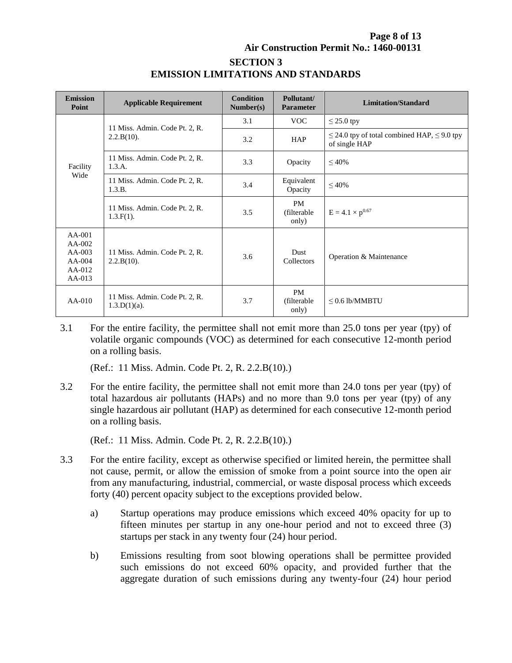#### **Page 8 of 13 Air Construction Permit No.: 1460-00131 SECTION 3 EMISSION LIMITATIONS AND STANDARDS**

| <b>Emission</b><br>Point                                             | <b>Applicable Requirement</b>                     | <b>Condition</b><br>Number(s) | Pollutant/<br><b>Parameter</b>     | <b>Limitation/Standard</b>                                             |
|----------------------------------------------------------------------|---------------------------------------------------|-------------------------------|------------------------------------|------------------------------------------------------------------------|
| Facility<br>Wide                                                     | 11 Miss. Admin. Code Pt. 2, R.                    | 3.1                           | <b>VOC</b>                         | $\leq$ 25.0 tpy                                                        |
|                                                                      | $2.2.B(10)$ .                                     | 3.2                           | <b>HAP</b>                         | $\leq$ 24.0 tpy of total combined HAP, $\leq$ 9.0 tpy<br>of single HAP |
|                                                                      | 11 Miss. Admin. Code Pt. 2, R.<br>1.3.A.          | 3.3                           | Opacity                            | $\leq 40\%$                                                            |
|                                                                      | 11 Miss. Admin. Code Pt. 2, R.<br>1.3.B.          | 3.4                           | Equivalent<br>Opacity              | $\leq 40\%$                                                            |
|                                                                      | 11 Miss. Admin. Code Pt. 2, R.<br>$1.3.F(1)$ .    | 3.5                           | <b>PM</b><br>(filterable)<br>only) | $E = 4.1 \times p^{0.67}$                                              |
| $AA-001$<br>$AA-002$<br>$AA-003$<br>$AA-004$<br>$AA-012$<br>$AA-013$ | 11 Miss. Admin. Code Pt. 2, R.<br>$2.2.B(10)$ .   | 3.6                           | <b>Dust</b><br>Collectors          | Operation & Maintenance                                                |
| $AA-010$                                                             | 11 Miss. Admin. Code Pt. 2, R.<br>$1.3.D(1)(a)$ . | 3.7                           | <b>PM</b><br>(filterable)<br>only) | $\leq$ 0.6 lb/MMBTU                                                    |

3.1 For the entire facility, the permittee shall not emit more than 25.0 tons per year (tpy) of volatile organic compounds (VOC) as determined for each consecutive 12-month period on a rolling basis.

(Ref.: 11 Miss. Admin. Code Pt. 2, R. 2.2.B(10).)

3.2 For the entire facility, the permittee shall not emit more than 24.0 tons per year (tpy) of total hazardous air pollutants (HAPs) and no more than 9.0 tons per year (tpy) of any single hazardous air pollutant (HAP) as determined for each consecutive 12-month period on a rolling basis.

(Ref.: 11 Miss. Admin. Code Pt. 2, R. 2.2.B(10).)

- 3.3 For the entire facility, except as otherwise specified or limited herein, the permittee shall not cause, permit, or allow the emission of smoke from a point source into the open air from any manufacturing, industrial, commercial, or waste disposal process which exceeds forty (40) percent opacity subject to the exceptions provided below.
	- a) Startup operations may produce emissions which exceed 40% opacity for up to fifteen minutes per startup in any one-hour period and not to exceed three (3) startups per stack in any twenty four (24) hour period.
	- b) Emissions resulting from soot blowing operations shall be permittee provided such emissions do not exceed 60% opacity, and provided further that the aggregate duration of such emissions during any twenty-four (24) hour period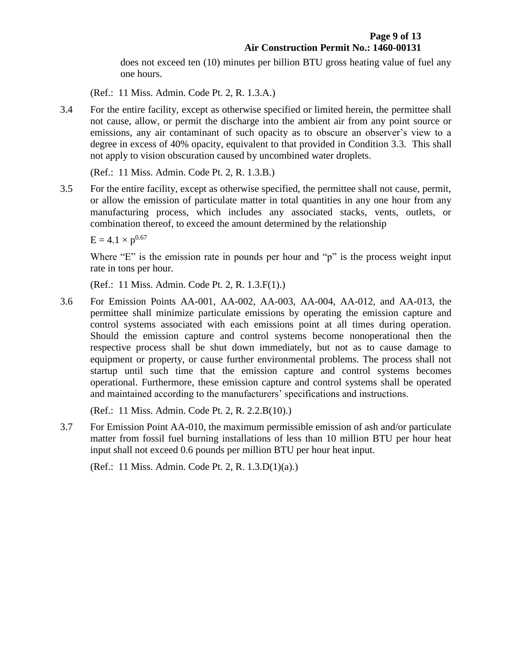does not exceed ten (10) minutes per billion BTU gross heating value of fuel any one hours.

(Ref.: 11 Miss. Admin. Code Pt. 2, R. 1.3.A.)

3.4 For the entire facility, except as otherwise specified or limited herein, the permittee shall not cause, allow, or permit the discharge into the ambient air from any point source or emissions, any air contaminant of such opacity as to obscure an observer's view to a degree in excess of 40% opacity, equivalent to that provided in Condition 3.3. This shall not apply to vision obscuration caused by uncombined water droplets.

(Ref.: 11 Miss. Admin. Code Pt. 2, R. 1.3.B.)

3.5 For the entire facility, except as otherwise specified, the permittee shall not cause, permit, or allow the emission of particulate matter in total quantities in any one hour from any manufacturing process, which includes any associated stacks, vents, outlets, or combination thereof, to exceed the amount determined by the relationship

 $E = 4.1 \times p^{0.67}$ 

Where "E" is the emission rate in pounds per hour and "p" is the process weight input rate in tons per hour.

(Ref.: 11 Miss. Admin. Code Pt. 2, R. 1.3.F(1).)

3.6 For Emission Points AA-001, AA-002, AA-003, AA-004, AA-012, and AA-013, the permittee shall minimize particulate emissions by operating the emission capture and control systems associated with each emissions point at all times during operation. Should the emission capture and control systems become nonoperational then the respective process shall be shut down immediately, but not as to cause damage to equipment or property, or cause further environmental problems. The process shall not startup until such time that the emission capture and control systems becomes operational. Furthermore, these emission capture and control systems shall be operated and maintained according to the manufacturers' specifications and instructions.

(Ref.: 11 Miss. Admin. Code Pt. 2, R. 2.2.B(10).)

3.7 For Emission Point AA-010, the maximum permissible emission of ash and/or particulate matter from fossil fuel burning installations of less than 10 million BTU per hour heat input shall not exceed 0.6 pounds per million BTU per hour heat input.

(Ref.: 11 Miss. Admin. Code Pt. 2, R. 1.3.D(1)(a).)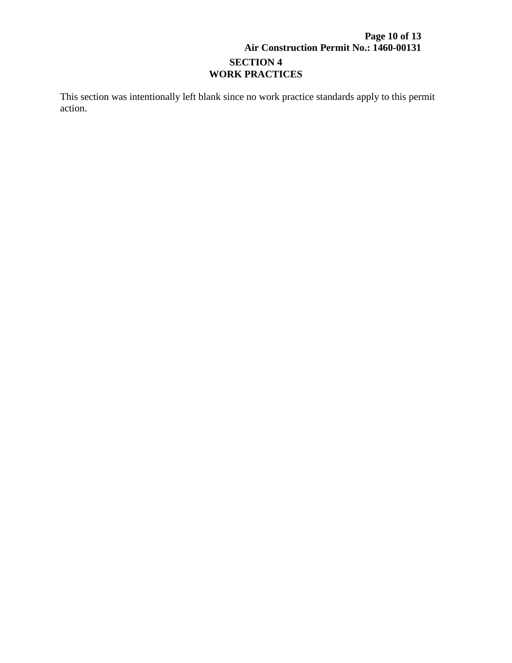### **Page 10 of 13 Air Construction Permit No.: 1460-00131 SECTION 4 WORK PRACTICES**

This section was intentionally left blank since no work practice standards apply to this permit action.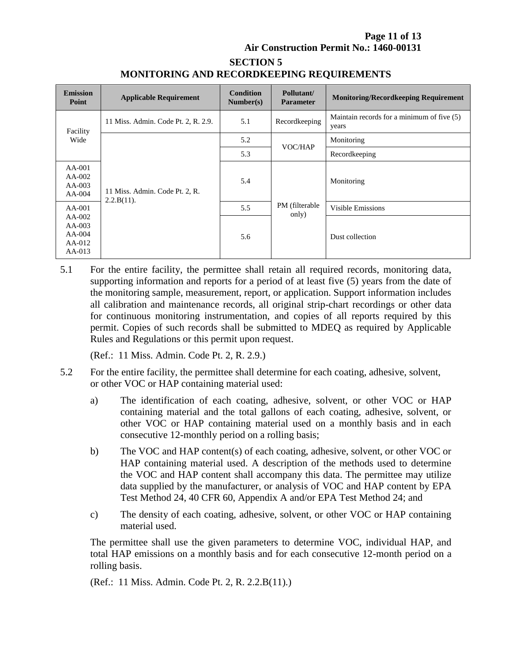#### **Page 11 of 13 Air Construction Permit No.: 1460-00131**

# **SECTION 5 MONITORING AND RECORDKEEPING REQUIREMENTS**

| <b>Emission</b><br>Point                               | <b>Applicable Requirement</b>                   | <b>Condition</b><br>Number(s) | Pollutant/<br><b>Parameter</b> | <b>Monitoring/Recordkeeping Requirement</b>         |
|--------------------------------------------------------|-------------------------------------------------|-------------------------------|--------------------------------|-----------------------------------------------------|
| Facility<br>Wide                                       | 11 Miss. Admin. Code Pt. 2, R. 2.9.             | 5.1                           | Recordkeeping                  | Maintain records for a minimum of five (5)<br>years |
|                                                        | 11 Miss. Admin. Code Pt. 2, R.<br>$2.2.B(11)$ . | 5.2                           | VOC/HAP                        | Monitoring                                          |
|                                                        |                                                 | 5.3                           |                                | Recordkeeping                                       |
| $AA-001$<br>$AA-002$<br>$AA-003$<br>$AA-004$           |                                                 | 5.4                           | PM (filterable<br>only)        | Monitoring                                          |
| $AA-001$                                               |                                                 | 5.5                           |                                | <b>Visible Emissions</b>                            |
| $AA-002$<br>$AA-003$<br>$AA-004$<br>$AA-012$<br>AA-013 |                                                 | 5.6                           |                                | Dust collection                                     |

5.1 For the entire facility, the permittee shall retain all required records, monitoring data, supporting information and reports for a period of at least five (5) years from the date of the monitoring sample, measurement, report, or application. Support information includes all calibration and maintenance records, all original strip-chart recordings or other data for continuous monitoring instrumentation, and copies of all reports required by this permit. Copies of such records shall be submitted to MDEQ as required by Applicable Rules and Regulations or this permit upon request.

(Ref.: 11 Miss. Admin. Code Pt. 2, R. 2.9.)

- 5.2 For the entire facility, the permittee shall determine for each coating, adhesive, solvent, or other VOC or HAP containing material used:
	- a) The identification of each coating, adhesive, solvent, or other VOC or HAP containing material and the total gallons of each coating, adhesive, solvent, or other VOC or HAP containing material used on a monthly basis and in each consecutive 12-monthly period on a rolling basis;
	- b) The VOC and HAP content(s) of each coating, adhesive, solvent, or other VOC or HAP containing material used. A description of the methods used to determine the VOC and HAP content shall accompany this data. The permittee may utilize data supplied by the manufacturer, or analysis of VOC and HAP content by EPA Test Method 24, 40 CFR 60, Appendix A and/or EPA Test Method 24; and
	- c) The density of each coating, adhesive, solvent, or other VOC or HAP containing material used.

The permittee shall use the given parameters to determine VOC, individual HAP, and total HAP emissions on a monthly basis and for each consecutive 12-month period on a rolling basis.

(Ref.: 11 Miss. Admin. Code Pt. 2, R. 2.2.B(11).)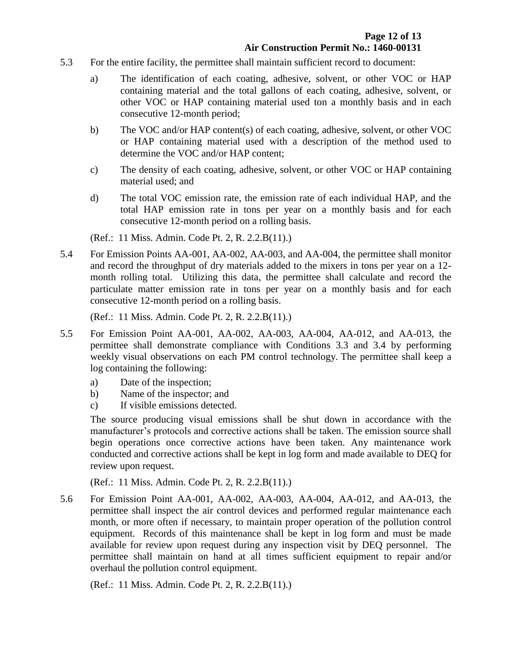- 5.3 For the entire facility, the permittee shall maintain sufficient record to document:
	- a) The identification of each coating, adhesive, solvent, or other VOC or HAP containing material and the total gallons of each coating, adhesive, solvent, or other VOC or HAP containing material used ton a monthly basis and in each consecutive 12-month period;
	- b) The VOC and/or HAP content(s) of each coating, adhesive, solvent, or other VOC or HAP containing material used with a description of the method used to determine the VOC and/or HAP content;
	- c) The density of each coating, adhesive, solvent, or other VOC or HAP containing material used; and
	- d) The total VOC emission rate, the emission rate of each individual HAP, and the total HAP emission rate in tons per year on a monthly basis and for each consecutive 12-month period on a rolling basis.

(Ref.: 11 Miss. Admin. Code Pt. 2, R. 2.2.B(11).)

5.4 For Emission Points AA-001, AA-002, AA-003, and AA-004, the permittee shall monitor and record the throughput of dry materials added to the mixers in tons per year on a 12 month rolling total. Utilizing this data, the permittee shall calculate and record the particulate matter emission rate in tons per year on a monthly basis and for each consecutive 12-month period on a rolling basis.

(Ref.: 11 Miss. Admin. Code Pt. 2, R. 2.2.B(11).)

- 5.5 For Emission Point AA-001, AA-002, AA-003, AA-004, AA-012, and AA-013, the permittee shall demonstrate compliance with Conditions 3.3 and 3.4 by performing weekly visual observations on each PM control technology. The permittee shall keep a log containing the following:
	- a) Date of the inspection;
	- b) Name of the inspector; and
	- c) If visible emissions detected.

The source producing visual emissions shall be shut down in accordance with the manufacturer's protocols and corrective actions shall be taken. The emission source shall begin operations once corrective actions have been taken. Any maintenance work conducted and corrective actions shall be kept in log form and made available to DEQ for review upon request.

(Ref.: 11 Miss. Admin. Code Pt. 2, R. 2.2.B(11).)

5.6 For Emission Point AA-001, AA-002, AA-003, AA-004, AA-012, and AA-013, the permittee shall inspect the air control devices and performed regular maintenance each month, or more often if necessary, to maintain proper operation of the pollution control equipment. Records of this maintenance shall be kept in log form and must be made available for review upon request during any inspection visit by DEQ personnel. The permittee shall maintain on hand at all times sufficient equipment to repair and/or overhaul the pollution control equipment.

(Ref.: 11 Miss. Admin. Code Pt. 2, R. 2.2.B(11).)